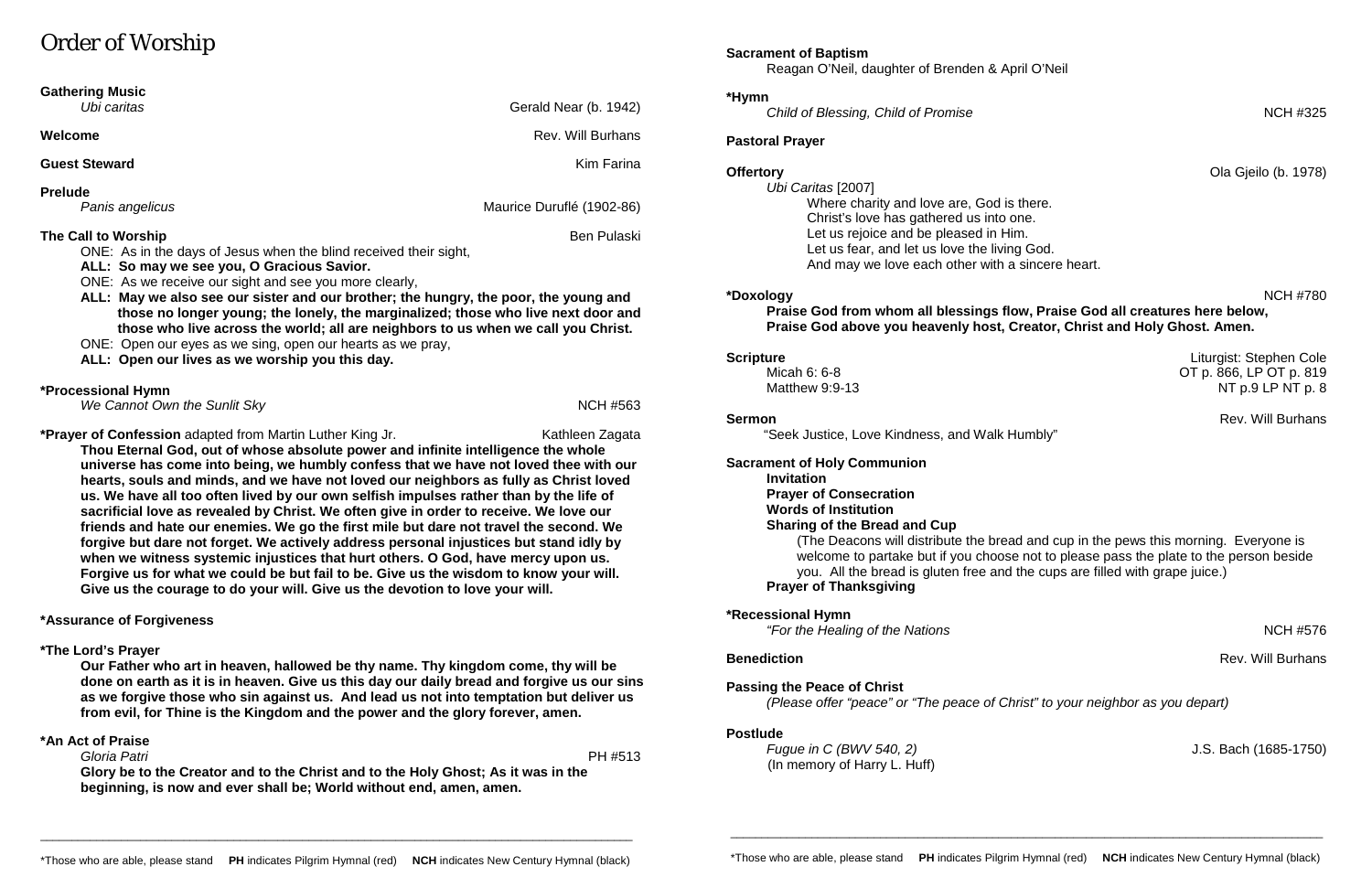# Order of Worship

| Ubi caritas<br>Welcome                                                                                                                                                                                                                                                                                                                                                                                                                                                                         | Gerald Near (b. 1942)<br><b>Rev. Will Burhans</b>                                                       |
|------------------------------------------------------------------------------------------------------------------------------------------------------------------------------------------------------------------------------------------------------------------------------------------------------------------------------------------------------------------------------------------------------------------------------------------------------------------------------------------------|---------------------------------------------------------------------------------------------------------|
| <b>Guest Steward</b>                                                                                                                                                                                                                                                                                                                                                                                                                                                                           | <b>Kim Farina</b>                                                                                       |
| <b>Prelude</b><br>Panis angelicus                                                                                                                                                                                                                                                                                                                                                                                                                                                              | Maurice Duruflé (1902-86)                                                                               |
| The Call to Worship<br>ONE: As in the days of Jesus when the blind received their sight,<br>ALL: So may we see you, O Gracious Savior.<br>ONE: As we receive our sight and see you more clearly,<br>ALL: May we also see our sister and our brother; the hungry, the poor, the young and<br>those who live across the world; all are neighbors to us when we call you Christ.<br>ONE: Open our eyes as we sing, open our hearts as we pray,<br>ALL: Open our lives as we worship you this day. | <b>Ben Pulaski</b><br>those no longer young; the lonely, the marginalized; those who live next door and |
|                                                                                                                                                                                                                                                                                                                                                                                                                                                                                                | <b>NCH #563</b>                                                                                         |
| *Processional Hymn<br>We Cannot Own the Sunlit Sky                                                                                                                                                                                                                                                                                                                                                                                                                                             |                                                                                                         |

**when we witness systemic injustices that hurt others. O God, have mercy upon us. Forgive us for what we could be but fail to be. Give us the wisdom to know your will.** 

**Give us the courage to do your will. Give us the devotion to love your will.** 

**\*Recessional Hymn**  *"For the Healing of the Nations* NCH #576

**\*Assurance of Forgiveness**

### **\*The Lord's Prayer**

**Our Father who art in heaven, hallowed be thy name. Thy kingdom come, thy will be done on earth as it is in heaven. Give us this day our daily bread and forgive us our sins as we forgive those who sin against us. And lead us not into temptation but deliver us from evil, for Thine is the Kingdom and the power and the glory forever, amen.**

### **\*An Act of Praise**

 *Gloria Patri* PH #513 **Glory be to the Creator and to the Christ and to the Holy Ghost; As it was in the beginning, is now and ever shall be; World without end, amen, amen.**

# **Sacrament of Baptism**

Reagan O'Neil, daughter of Brenden & April O'Neil

### **\*Hymn**

**Child of Blessing, Child of Promise** NCH #325

# **Pastoral Prayer**

*Ubi Caritas* [2007] Where charity and love are, God is there. Christ's love has gathered us into one. Let us rejoice and be pleased in Him. Let us fear, and let us love the living God. And may we love each other with a sincere heart.

# **\*Doxology** NCH #780

# **Praise God from whom all blessings flow, Praise God all creatures here below, Praise God above you heavenly host, Creator, Christ and Holy Ghost. Amen.**

**Scripture** Liturgist: Stephen Cole<br>Micah 6: 6-8 Micah 6: 6-8 Micah 6: 6-8 Micah 6: 6-8 Micah 6: 6-8 Micah 6: 6-8 Micah 6: 6-8 Micah 6: 6-8 Micah OT p. 866, LP OT p. 819 Matthew 9:9-13 NT p.9 LP NT p.8

**Sermon** Rev. Will Burhans

"Seek Justice, Love Kindness, and Walk Humbly"

**Sacrament of Holy Communion Invitation Prayer of Consecration Words of Institution Sharing of the Bread and Cup Prayer of Thanksgiving**

(The Deacons will distribute the bread and cup in the pews this morning. Everyone is welcome to partake but if you choose not to please pass the plate to the person beside you. All the bread is gluten free and the cups are filled with grape juice.)

**Benediction** Rev. Will Burhans

**Passing the Peace of Christ**

*(Please offer "peace" or "The peace of Christ" to your neighbor as you depart)*

### **Postlude**

*Fugue in C (BWV 540, 2)* J.S. Bach (1685-1750) (In memory of Harry L. Huff)

\_\_\_\_\_\_\_\_\_\_\_\_\_\_\_\_\_\_\_\_\_\_\_\_\_\_\_\_\_\_\_\_\_\_\_\_\_\_\_\_\_\_\_\_\_\_\_\_\_\_\_\_\_\_\_\_\_\_\_\_\_\_\_\_\_\_\_\_\_\_\_\_\_\_\_\_\_\_\_\_\_\_\_\_\_\_\_\_\_\_\_\_\_\_\_

\_\_\_\_\_\_\_\_\_\_\_\_\_\_\_\_\_\_\_\_\_\_\_\_\_\_\_\_\_\_\_\_\_\_\_\_\_\_\_\_\_\_\_\_\_\_\_\_\_\_\_\_\_\_\_\_\_\_\_\_\_\_\_\_\_\_\_\_\_\_\_\_\_\_\_\_\_\_\_\_\_\_\_\_\_\_\_\_\_\_\_\_\_\_\_

**Offertory** Ola Gjeilo (b. 1978)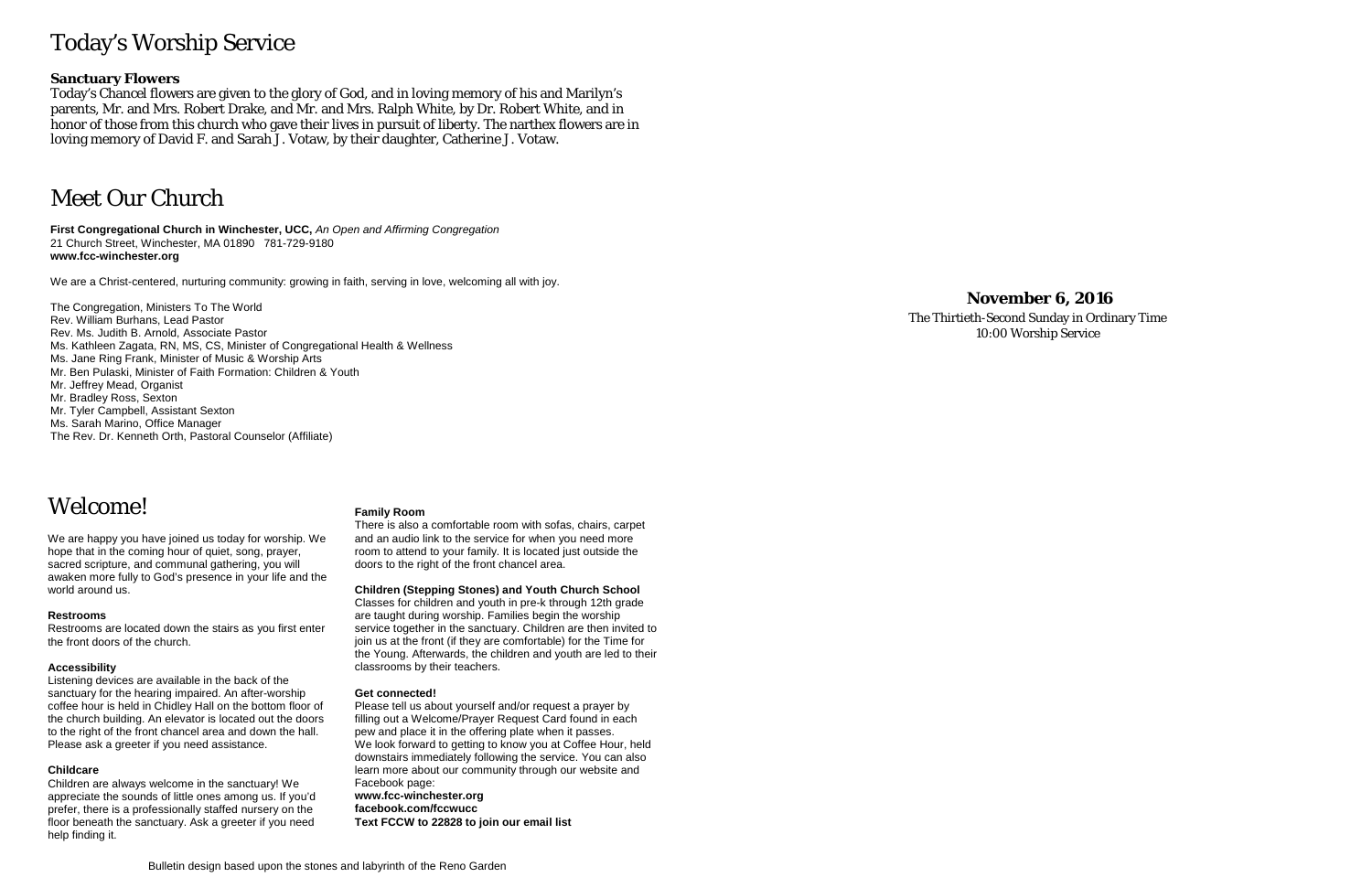# Today's Worship Service

# **Sanctuary Flowers**

Today's Chancel flowers are given to the glory of God, and in loving memory of his and Marilyn's parents, Mr. and Mrs. Robert Drake, and Mr. and Mrs. Ralph White, by Dr. Robert White, and in honor of those from this church who gave their lives in pursuit of liberty. The narthex flowers are in loving memory of David F. and Sarah J. Votaw, by their daughter, Catherine J. Votaw.

# Meet Our Church

**First Congregational Church in Winchester, UCC,** *An Open and Affirming Congregation* 21 Church Street, Winchester, MA 01890 781-729-9180 **www.fcc-winchester.org**

We are a Christ-centered, nurturing community: growing in faith, serving in love, welcoming all with joy.

- The Congregation, Ministers To The World Rev. William Burhans, Lead Pastor Rev. Ms. Judith B. Arnold, Associate Pastor Ms. Kathleen Zagata, RN, MS, CS, Minister of Congregational Health & Wellness Ms. Jane Ring Frank, Minister of Music & Worship Arts Mr. Ben Pulaski, Minister of Faith Formation: Children & Youth Mr. Jeffrey Mead, Organist Mr. Bradley Ross, Sexton Mr. Tyler Campbell, Assistant Sexton Ms. Sarah Marino, Office Manager
- The Rev. Dr. Kenneth Orth, Pastoral Counselor (Affiliate)

# Welcome!

We are happy you have joined us today for worship. We hope that in the coming hour of quiet, song, prayer, sacred scripture, and communal gathering, you will awaken more fully to God's presence in your life and the world around us.

#### **Restrooms**

Restrooms are located down the stairs as you first enter the front doors of the church.

#### **Accessibility**

Listening devices are available in the back of the sanctuary for the hearing impaired. An after-worship coffee hour is held in Chidley Hall on the bottom floor of the church building. An elevator is located out the doors to the right of the front chancel area and down the hall. Please ask a greeter if you need assistance.

### **Childcare**

Children are always welcome in the sanctuary! We appreciate the sounds of little ones among us. If you'd prefer, there is a professionally staffed nursery on the floor beneath the sanctuary. Ask a greeter if you need help finding it.

#### **Family Room**

There is also a comfortable room with sofas, chairs, carpet and an audio link to the service for when you need more room to attend to your family. It is located just outside the doors to the right of the front chancel area.

**Children (Stepping Stones) and Youth Church School** Classes for children and youth in pre-k through 12th grade are taught during worship. Families begin the worship

service together in the sanctuary. Children are then invited to join us at the front (if they are comfortable) for the Time for the Young. Afterwards, the children and youth are led to their classrooms by their teachers.

#### **Get connected!**

Please tell us about yourself and/or request a prayer by filling out a Welcome/Prayer Request Card found in each pew and place it in the offering plate when it passes. We look forward to getting to know you at Coffee Hour, held downstairs immediately following the service. You can also learn more about our community through our website and Facebook page: **www.fcc-winchester.org facebook.com/fccwucc**

**Text FCCW to 22828 to join our email list**

# **November 6, 2016**

The Thirtieth-Second Sunday in Ordinary Time 10:00 Worship Service